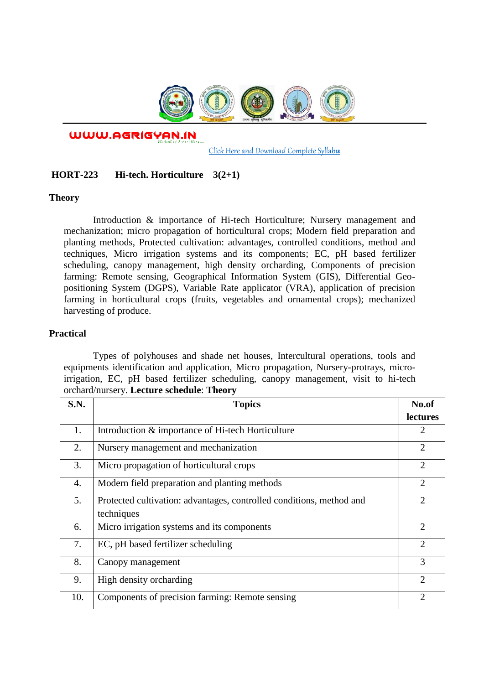

WWW.AGRIGYAN.IN

[Click Here and Download Complete Syllabus](http://agrigyan.in/)

## **HORT-223 Hi-tech. Horticulture 3(2+1)**

## **Theory**

 $\overline{a}$ 

Introduction & importance of Hi-tech Horticulture; Nursery management and mechanization; micro propagation of horticultural crops; Modern field preparation and planting methods, Protected cultivation: advantages, controlled conditions, method and techniques, Micro irrigation systems and its components; EC, pH based fertilizer scheduling, canopy management, high density orcharding, Components of precision farming: Remote sensing, Geographical Information System (GIS), Differential Geopositioning System (DGPS), Variable Rate applicator (VRA), application of precision farming in horticultural crops (fruits, vegetables and ornamental crops); mechanized harvesting of produce.

## **Practical**

Types of polyhouses and shade net houses, Intercultural operations, tools and equipments identification and application, Micro propagation, Nursery-protrays, microirrigation, EC, pH based fertilizer scheduling, canopy management, visit to hi-tech orchard/nursery. **Lecture schedule**: **Theory** 

| S.N. | <b>Topics</b>                                                                      | No.of                       |
|------|------------------------------------------------------------------------------------|-----------------------------|
|      |                                                                                    | lectures                    |
| 1.   | Introduction & importance of Hi-tech Horticulture                                  | 2                           |
| 2.   | Nursery management and mechanization                                               | $\overline{2}$              |
| 3.   | Micro propagation of horticultural crops                                           | $\overline{2}$              |
| 4.   | Modern field preparation and planting methods                                      | $\mathcal{D}_{\mathcal{A}}$ |
| 5.   | Protected cultivation: advantages, controlled conditions, method and<br>techniques | $\mathcal{D}$               |
| 6.   | Micro irrigation systems and its components                                        | $\overline{2}$              |
| 7.   | EC, pH based fertilizer scheduling                                                 | $\overline{2}$              |
| 8.   | Canopy management                                                                  | 3                           |
| 9.   | High density orcharding                                                            | $\overline{2}$              |
| 10.  | Components of precision farming: Remote sensing                                    | ာ                           |